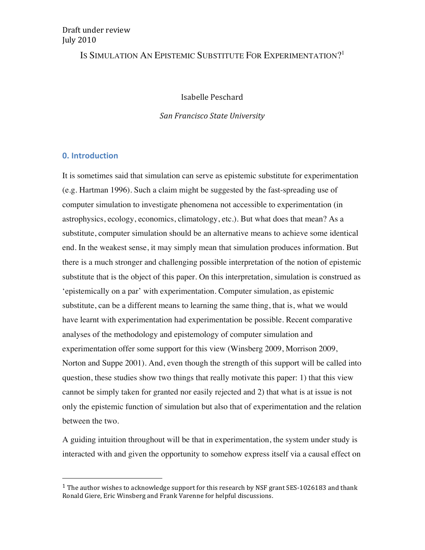## Draft under review **July 2010**

# IS SIMULATION AN EPISTEMIC SUBSTITUTE FOR EXPERIMENTATION?<sup>1</sup>

## Isabelle Peschard

### *San\$Francisco\$State\$University*

## **0. Introduction**

&&&&&&&&&&&&&&&&&&&&&&&&&&&&&&&&&&&&&&&&&&&&&&&&&&&&&&&

It is sometimes said that simulation can serve as epistemic substitute for experimentation (e.g. Hartman 1996). Such a claim might be suggested by the fast-spreading use of computer simulation to investigate phenomena not accessible to experimentation (in astrophysics, ecology, economics, climatology, etc.). But what does that mean? As a substitute, computer simulation should be an alternative means to achieve some identical end. In the weakest sense, it may simply mean that simulation produces information. But there is a much stronger and challenging possible interpretation of the notion of epistemic substitute that is the object of this paper. On this interpretation, simulation is construed as 'epistemically on a par' with experimentation. Computer simulation, as epistemic substitute, can be a different means to learning the same thing, that is, what we would have learnt with experimentation had experimentation be possible. Recent comparative analyses of the methodology and epistemology of computer simulation and experimentation offer some support for this view (Winsberg 2009, Morrison 2009, Norton and Suppe 2001). And, even though the strength of this support will be called into question, these studies show two things that really motivate this paper: 1) that this view cannot be simply taken for granted nor easily rejected and 2) that what is at issue is not only the epistemic function of simulation but also that of experimentation and the relation between the two.

A guiding intuition throughout will be that in experimentation, the system under study is interacted with and given the opportunity to somehow express itself via a causal effect on

<sup>&</sup>lt;sup>1</sup> The author wishes to acknowledge support for this research by NSF grant SES-1026183 and thank Ronald Giere, Eric Winsberg and Frank Varenne for helpful discussions.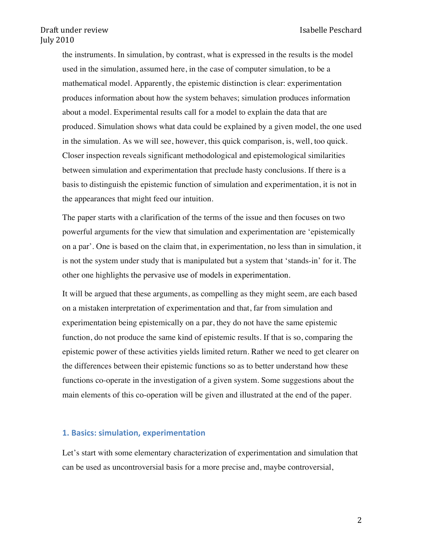the instruments. In simulation, by contrast, what is expressed in the results is the model used in the simulation, assumed here, in the case of computer simulation, to be a mathematical model. Apparently, the epistemic distinction is clear: experimentation produces information about how the system behaves; simulation produces information about a model. Experimental results call for a model to explain the data that are produced. Simulation shows what data could be explained by a given model, the one used in the simulation. As we will see, however, this quick comparison, is, well, too quick. Closer inspection reveals significant methodological and epistemological similarities between simulation and experimentation that preclude hasty conclusions. If there is a basis to distinguish the epistemic function of simulation and experimentation, it is not in the appearances that might feed our intuition.

The paper starts with a clarification of the terms of the issue and then focuses on two powerful arguments for the view that simulation and experimentation are 'epistemically on a par'. One is based on the claim that, in experimentation, no less than in simulation, it is not the system under study that is manipulated but a system that 'stands-in' for it. The other one highlights the pervasive use of models in experimentation.

It will be argued that these arguments, as compelling as they might seem, are each based on a mistaken interpretation of experimentation and that, far from simulation and experimentation being epistemically on a par, they do not have the same epistemic function, do not produce the same kind of epistemic results. If that is so, comparing the epistemic power of these activities yields limited return. Rather we need to get clearer on the differences between their epistemic functions so as to better understand how these functions co-operate in the investigation of a given system. Some suggestions about the main elements of this co-operation will be given and illustrated at the end of the paper.

### **1. Basics: simulation, experimentation**

Let's start with some elementary characterization of experimentation and simulation that can be used as uncontroversial basis for a more precise and, maybe controversial,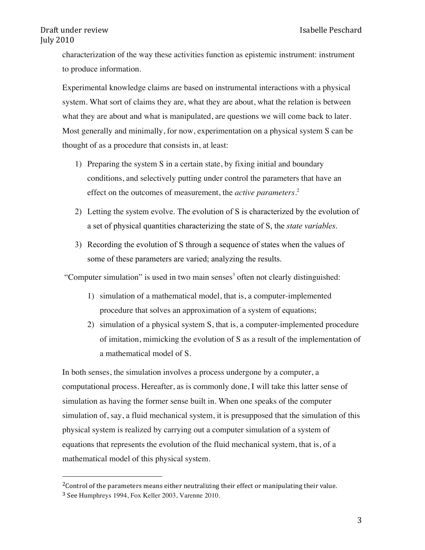characterization of the way these activities function as epistemic instrument: instrument to produce information.

Experimental knowledge claims are based on instrumental interactions with a physical system. What sort of claims they are, what they are about, what the relation is between what they are about and what is manipulated, are questions we will come back to later. Most generally and minimally, for now, experimentation on a physical system S can be thought of as a procedure that consists in, at least:

- 1) Preparing the system S in a certain state, by fixing initial and boundary conditions, and selectively putting under control the parameters that have an effect on the outcomes of measurement, the *active parameters.* 2
- 2) Letting the system evolve. The evolution of S is characterized by the evolution of a set of physical quantities characterizing the state of S, the *state variables*.
- 3) Recording the evolution of S through a sequence of states when the values of some of these parameters are varied; analyzing the results.

"Computer simulation" is used in two main senses<sup>3</sup> often not clearly distinguished:

- 1) simulation of a mathematical model, that is, a computer-implemented procedure that solves an approximation of a system of equations;
- 2) simulation of a physical system S, that is, a computer-implemented procedure of imitation, mimicking the evolution of S as a result of the implementation of a mathematical model of S.

In both senses, the simulation involves a process undergone by a computer, a computational process. Hereafter, as is commonly done, I will take this latter sense of simulation as having the former sense built in. When one speaks of the computer simulation of, say, a fluid mechanical system, it is presupposed that the simulation of this physical system is realized by carrying out a computer simulation of a system of equations that represents the evolution of the fluid mechanical system, that is, of a mathematical model of this physical system.

<sup>&</sup>lt;sup>2</sup>Control of the parameters means either neutralizing their effect or manipulating their value. <sup>3</sup> See Humphreys 1994, Fox Keller 2003, Varenne 2010.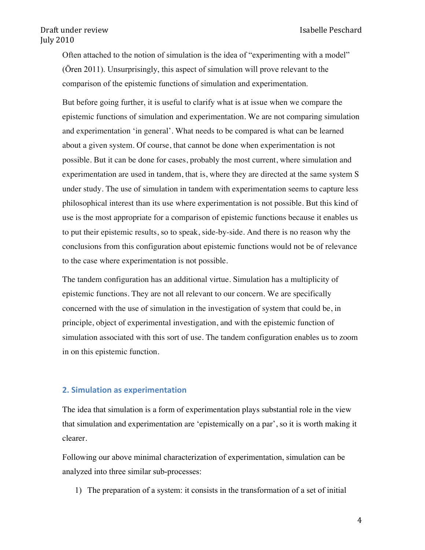Often attached to the notion of simulation is the idea of "experimenting with a model" (Ören 2011). Unsurprisingly, this aspect of simulation will prove relevant to the comparison of the epistemic functions of simulation and experimentation.

But before going further, it is useful to clarify what is at issue when we compare the epistemic functions of simulation and experimentation. We are not comparing simulation and experimentation 'in general'. What needs to be compared is what can be learned about a given system. Of course, that cannot be done when experimentation is not possible. But it can be done for cases, probably the most current, where simulation and experimentation are used in tandem, that is, where they are directed at the same system S under study. The use of simulation in tandem with experimentation seems to capture less philosophical interest than its use where experimentation is not possible. But this kind of use is the most appropriate for a comparison of epistemic functions because it enables us to put their epistemic results, so to speak, side-by-side. And there is no reason why the conclusions from this configuration about epistemic functions would not be of relevance to the case where experimentation is not possible.

The tandem configuration has an additional virtue. Simulation has a multiplicity of epistemic functions. They are not all relevant to our concern. We are specifically concerned with the use of simulation in the investigation of system that could be, in principle, object of experimental investigation, and with the epistemic function of simulation associated with this sort of use. The tandem configuration enables us to zoom in on this epistemic function.

### **2. Simulation as experimentation**

The idea that simulation is a form of experimentation plays substantial role in the view that simulation and experimentation are 'epistemically on a par', so it is worth making it clearer.

Following our above minimal characterization of experimentation, simulation can be analyzed into three similar sub-processes:

1) The preparation of a system: it consists in the transformation of a set of initial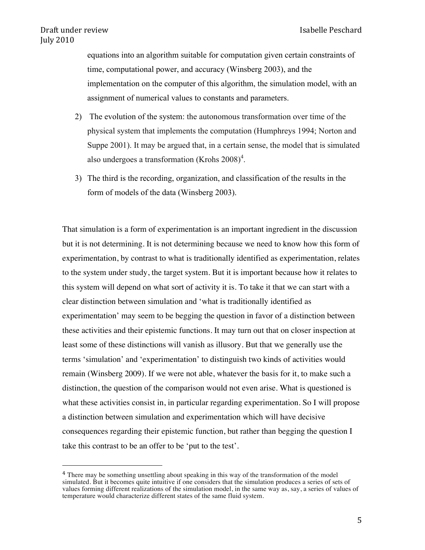equations into an algorithm suitable for computation given certain constraints of time, computational power, and accuracy (Winsberg 2003), and the implementation on the computer of this algorithm, the simulation model, with an assignment of numerical values to constants and parameters.

- 2) The evolution of the system: the autonomous transformation over time of the physical system that implements the computation (Humphreys 1994; Norton and Suppe 2001). It may be argued that, in a certain sense, the model that is simulated also undergoes a transformation (Krohs  $2008$ )<sup>4</sup>.
- 3) The third is the recording, organization, and classification of the results in the form of models of the data (Winsberg 2003).

That simulation is a form of experimentation is an important ingredient in the discussion but it is not determining. It is not determining because we need to know how this form of experimentation, by contrast to what is traditionally identified as experimentation, relates to the system under study, the target system. But it is important because how it relates to this system will depend on what sort of activity it is. To take it that we can start with a clear distinction between simulation and 'what is traditionally identified as experimentation' may seem to be begging the question in favor of a distinction between these activities and their epistemic functions. It may turn out that on closer inspection at least some of these distinctions will vanish as illusory. But that we generally use the terms 'simulation' and 'experimentation' to distinguish two kinds of activities would remain (Winsberg 2009). If we were not able, whatever the basis for it, to make such a distinction, the question of the comparison would not even arise. What is questioned is what these activities consist in, in particular regarding experimentation. So I will propose a distinction between simulation and experimentation which will have decisive consequences regarding their epistemic function, but rather than begging the question I take this contrast to be an offer to be 'put to the test'.

<sup>4</sup> There may be something unsettling about speaking in this way of the transformation of the model simulated. But it becomes quite intuitive if one considers that the simulation produces a series of sets of values forming different realizations of the simulation model, in the same way as, say, a series of values of temperature would characterize different states of the same fluid system.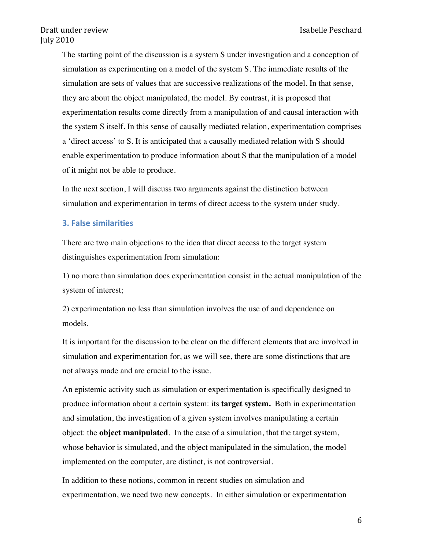The starting point of the discussion is a system S under investigation and a conception of simulation as experimenting on a model of the system S. The immediate results of the simulation are sets of values that are successive realizations of the model. In that sense, they are about the object manipulated, the model. By contrast, it is proposed that experimentation results come directly from a manipulation of and causal interaction with the system S itself. In this sense of causally mediated relation, experimentation comprises a 'direct access' to S. It is anticipated that a causally mediated relation with S should enable experimentation to produce information about S that the manipulation of a model of it might not be able to produce.

In the next section, I will discuss two arguments against the distinction between simulation and experimentation in terms of direct access to the system under study.

### **3. False similarities**

There are two main objections to the idea that direct access to the target system distinguishes experimentation from simulation:

1) no more than simulation does experimentation consist in the actual manipulation of the system of interest;

2) experimentation no less than simulation involves the use of and dependence on models.

It is important for the discussion to be clear on the different elements that are involved in simulation and experimentation for, as we will see, there are some distinctions that are not always made and are crucial to the issue.

An epistemic activity such as simulation or experimentation is specifically designed to produce information about a certain system: its **target system.** Both in experimentation and simulation, the investigation of a given system involves manipulating a certain object: the **object manipulated**. In the case of a simulation, that the target system, whose behavior is simulated, and the object manipulated in the simulation, the model implemented on the computer, are distinct, is not controversial.

In addition to these notions, common in recent studies on simulation and experimentation, we need two new concepts. In either simulation or experimentation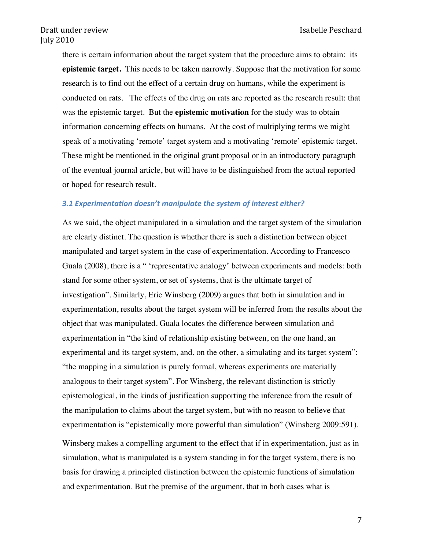there is certain information about the target system that the procedure aims to obtain: its **epistemic target.** This needs to be taken narrowly. Suppose that the motivation for some research is to find out the effect of a certain drug on humans, while the experiment is conducted on rats. The effects of the drug on rats are reported as the research result: that was the epistemic target. But the **epistemic motivation** for the study was to obtain information concerning effects on humans. At the cost of multiplying terms we might speak of a motivating 'remote' target system and a motivating 'remote' epistemic target. These might be mentioned in the original grant proposal or in an introductory paragraph of the eventual journal article, but will have to be distinguished from the actual reported or hoped for research result.

#### *3.1 Experimentation\$doesn't\$manipulate\$the\$system\$of\$interest either?*

As we said, the object manipulated in a simulation and the target system of the simulation are clearly distinct. The question is whether there is such a distinction between object manipulated and target system in the case of experimentation. According to Francesco Guala (2008), there is a " 'representative analogy' between experiments and models: both stand for some other system, or set of systems, that is the ultimate target of investigation". Similarly, Eric Winsberg (2009) argues that both in simulation and in experimentation, results about the target system will be inferred from the results about the object that was manipulated. Guala locates the difference between simulation and experimentation in "the kind of relationship existing between, on the one hand, an experimental and its target system, and, on the other, a simulating and its target system": "the mapping in a simulation is purely formal, whereas experiments are materially analogous to their target system". For Winsberg, the relevant distinction is strictly epistemological, in the kinds of justification supporting the inference from the result of the manipulation to claims about the target system, but with no reason to believe that experimentation is "epistemically more powerful than simulation" (Winsberg 2009:591).

Winsberg makes a compelling argument to the effect that if in experimentation, just as in simulation, what is manipulated is a system standing in for the target system, there is no basis for drawing a principled distinction between the epistemic functions of simulation and experimentation. But the premise of the argument, that in both cases what is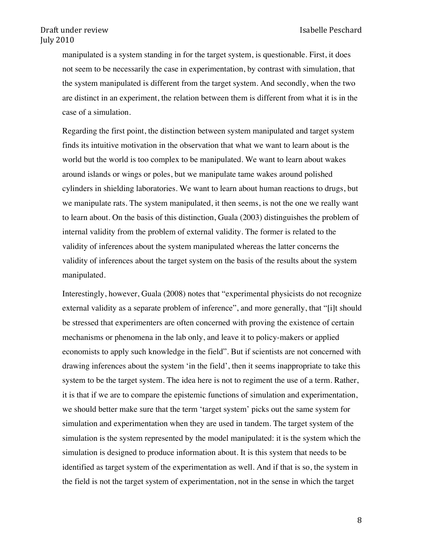manipulated is a system standing in for the target system, is questionable. First, it does not seem to be necessarily the case in experimentation, by contrast with simulation, that the system manipulated is different from the target system. And secondly, when the two are distinct in an experiment, the relation between them is different from what it is in the case of a simulation.

Regarding the first point, the distinction between system manipulated and target system finds its intuitive motivation in the observation that what we want to learn about is the world but the world is too complex to be manipulated. We want to learn about wakes around islands or wings or poles, but we manipulate tame wakes around polished cylinders in shielding laboratories. We want to learn about human reactions to drugs, but we manipulate rats. The system manipulated, it then seems, is not the one we really want to learn about. On the basis of this distinction, Guala (2003) distinguishes the problem of internal validity from the problem of external validity. The former is related to the validity of inferences about the system manipulated whereas the latter concerns the validity of inferences about the target system on the basis of the results about the system manipulated.

Interestingly, however, Guala (2008) notes that "experimental physicists do not recognize external validity as a separate problem of inference", and more generally, that "[i]t should be stressed that experimenters are often concerned with proving the existence of certain mechanisms or phenomena in the lab only, and leave it to policy-makers or applied economists to apply such knowledge in the field". But if scientists are not concerned with drawing inferences about the system 'in the field', then it seems inappropriate to take this system to be the target system. The idea here is not to regiment the use of a term. Rather, it is that if we are to compare the epistemic functions of simulation and experimentation, we should better make sure that the term 'target system' picks out the same system for simulation and experimentation when they are used in tandem. The target system of the simulation is the system represented by the model manipulated: it is the system which the simulation is designed to produce information about. It is this system that needs to be identified as target system of the experimentation as well. And if that is so, the system in the field is not the target system of experimentation, not in the sense in which the target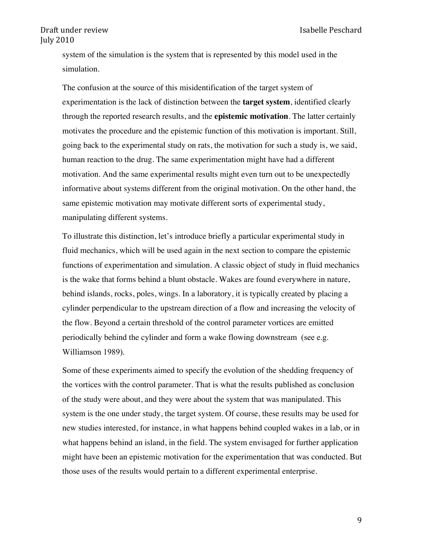system of the simulation is the system that is represented by this model used in the simulation.

The confusion at the source of this misidentification of the target system of experimentation is the lack of distinction between the **target system**, identified clearly through the reported research results, and the **epistemic motivation**. The latter certainly motivates the procedure and the epistemic function of this motivation is important. Still, going back to the experimental study on rats, the motivation for such a study is, we said, human reaction to the drug. The same experimentation might have had a different motivation. And the same experimental results might even turn out to be unexpectedly informative about systems different from the original motivation. On the other hand, the same epistemic motivation may motivate different sorts of experimental study, manipulating different systems.

To illustrate this distinction, let's introduce briefly a particular experimental study in fluid mechanics, which will be used again in the next section to compare the epistemic functions of experimentation and simulation. A classic object of study in fluid mechanics is the wake that forms behind a blunt obstacle. Wakes are found everywhere in nature, behind islands, rocks, poles, wings. In a laboratory, it is typically created by placing a cylinder perpendicular to the upstream direction of a flow and increasing the velocity of the flow. Beyond a certain threshold of the control parameter vortices are emitted periodically behind the cylinder and form a wake flowing downstream (see e.g. Williamson 1989).

Some of these experiments aimed to specify the evolution of the shedding frequency of the vortices with the control parameter. That is what the results published as conclusion of the study were about, and they were about the system that was manipulated. This system is the one under study, the target system. Of course, these results may be used for new studies interested, for instance, in what happens behind coupled wakes in a lab, or in what happens behind an island, in the field. The system envisaged for further application might have been an epistemic motivation for the experimentation that was conducted. But those uses of the results would pertain to a different experimental enterprise.

9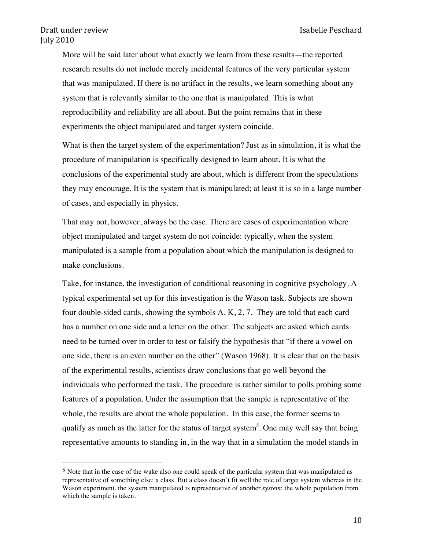More will be said later about what exactly we learn from these results—the reported research results do not include merely incidental features of the very particular system that was manipulated. If there is no artifact in the results, we learn something about any system that is relevantly similar to the one that is manipulated. This is what reproducibility and reliability are all about. But the point remains that in these experiments the object manipulated and target system coincide.

What is then the target system of the experimentation? Just as in simulation, it is what the procedure of manipulation is specifically designed to learn about. It is what the conclusions of the experimental study are about, which is different from the speculations they may encourage. It is the system that is manipulated; at least it is so in a large number of cases, and especially in physics.

That may not, however, always be the case. There are cases of experimentation where object manipulated and target system do not coincide: typically, when the system manipulated is a sample from a population about which the manipulation is designed to make conclusions.

Take, for instance, the investigation of conditional reasoning in cognitive psychology. A typical experimental set up for this investigation is the Wason task. Subjects are shown four double-sided cards, showing the symbols  $A, K, 2, 7$ . They are told that each card has a number on one side and a letter on the other. The subjects are asked which cards need to be turned over in order to test or falsify the hypothesis that "if there a vowel on one side, there is an even number on the other" (Wason 1968). It is clear that on the basis of the experimental results, scientists draw conclusions that go well beyond the individuals who performed the task. The procedure is rather similar to polls probing some features of a population. Under the assumption that the sample is representative of the whole, the results are about the whole population. In this case, the former seems to qualify as much as the latter for the status of target system<sup>5</sup>. One may well say that being representative amounts to standing in, in the way that in a simulation the model stands in

<sup>&</sup>lt;sup>5</sup> Note that in the case of the wake also one could speak of the particular system that was manipulated as representative of something else: a class. But a class doesn't fit well the role of target system whereas in the Wason experiment, the system manipulated is representative of another *system*: the whole population from which the sample is taken.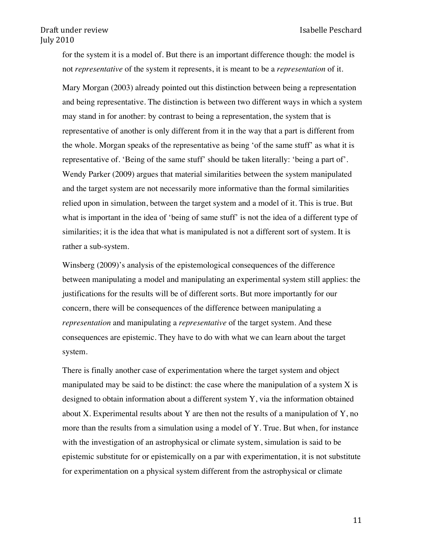for the system it is a model of. But there is an important difference though: the model is not *representative* of the system it represents, it is meant to be a *representation* of it.

Mary Morgan (2003) already pointed out this distinction between being a representation and being representative. The distinction is between two different ways in which a system may stand in for another: by contrast to being a representation, the system that is representative of another is only different from it in the way that a part is different from the whole. Morgan speaks of the representative as being 'of the same stuff' as what it is representative of. 'Being of the same stuff' should be taken literally: 'being a part of'. Wendy Parker (2009) argues that material similarities between the system manipulated and the target system are not necessarily more informative than the formal similarities relied upon in simulation, between the target system and a model of it. This is true. But what is important in the idea of 'being of same stuff' is not the idea of a different type of similarities; it is the idea that what is manipulated is not a different sort of system. It is rather a sub-system.

Winsberg (2009)'s analysis of the epistemological consequences of the difference between manipulating a model and manipulating an experimental system still applies: the justifications for the results will be of different sorts. But more importantly for our concern, there will be consequences of the difference between manipulating a *representation* and manipulating a *representative* of the target system. And these consequences are epistemic. They have to do with what we can learn about the target system.

There is finally another case of experimentation where the target system and object manipulated may be said to be distinct: the case where the manipulation of a system  $X$  is designed to obtain information about a different system Y, via the information obtained about X. Experimental results about Y are then not the results of a manipulation of Y, no more than the results from a simulation using a model of Y. True. But when, for instance with the investigation of an astrophysical or climate system, simulation is said to be epistemic substitute for or epistemically on a par with experimentation, it is not substitute for experimentation on a physical system different from the astrophysical or climate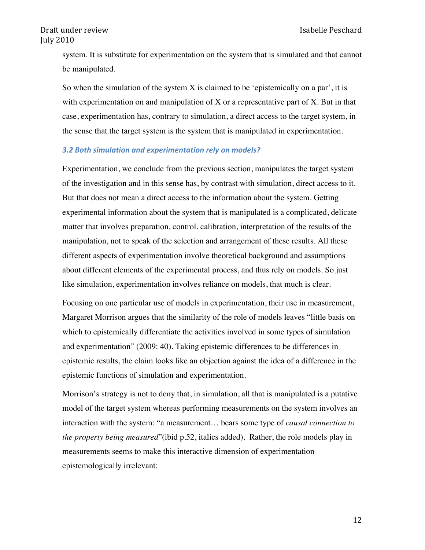system. It is substitute for experimentation on the system that is simulated and that cannot be manipulated.

So when the simulation of the system  $X$  is claimed to be 'epistemically on a par', it is with experimentation on and manipulation of  $X$  or a representative part of  $X$ . But in that case, experimentation has, contrary to simulation, a direct access to the target system, in the sense that the target system is the system that is manipulated in experimentation.

#### 3.2 Both simulation and experimentation rely on models?

Experimentation, we conclude from the previous section, manipulates the target system of the investigation and in this sense has, by contrast with simulation, direct access to it. But that does not mean a direct access to the information about the system. Getting experimental information about the system that is manipulated is a complicated, delicate matter that involves preparation, control, calibration, interpretation of the results of the manipulation, not to speak of the selection and arrangement of these results. All these different aspects of experimentation involve theoretical background and assumptions about different elements of the experimental process, and thus rely on models. So just like simulation, experimentation involves reliance on models, that much is clear.

Focusing on one particular use of models in experimentation, their use in measurement, Margaret Morrison argues that the similarity of the role of models leaves "little basis on which to epistemically differentiate the activities involved in some types of simulation and experimentation" (2009: 40). Taking epistemic differences to be differences in epistemic results, the claim looks like an objection against the idea of a difference in the epistemic functions of simulation and experimentation.

Morrison's strategy is not to deny that, in simulation, all that is manipulated is a putative model of the target system whereas performing measurements on the system involves an interaction with the system: "a measurement… bears some type of *causal connection to the property being measured*"(ibid p.52, italics added). Rather, the role models play in measurements seems to make this interactive dimension of experimentation epistemologically irrelevant:

12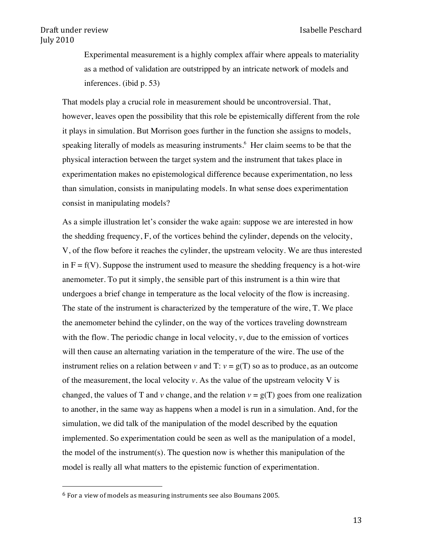Experimental measurement is a highly complex affair where appeals to materiality as a method of validation are outstripped by an intricate network of models and inferences. (ibid p. 53)

That models play a crucial role in measurement should be uncontroversial. That, however, leaves open the possibility that this role be epistemically different from the role it plays in simulation. But Morrison goes further in the function she assigns to models, speaking literally of models as measuring instruments. <sup>6</sup> Her claim seems to be that the physical interaction between the target system and the instrument that takes place in experimentation makes no epistemological difference because experimentation, no less than simulation, consists in manipulating models. In what sense does experimentation consist in manipulating models?

As a simple illustration let's consider the wake again: suppose we are interested in how the shedding frequency, F, of the vortices behind the cylinder, depends on the velocity, V, of the flow before it reaches the cylinder, the upstream velocity. We are thus interested in  $F = f(V)$ . Suppose the instrument used to measure the shedding frequency is a hot-wire anemometer. To put it simply, the sensible part of this instrument is a thin wire that undergoes a brief change in temperature as the local velocity of the flow is increasing. The state of the instrument is characterized by the temperature of the wire, T. We place the anemometer behind the cylinder, on the way of the vortices traveling downstream with the flow. The periodic change in local velocity,  $v$ , due to the emission of vortices will then cause an alternating variation in the temperature of the wire. The use of the instrument relies on a relation between *v* and T:  $v = g(T)$  so as to produce, as an outcome of the measurement, the local velocity  $v$ . As the value of the upstream velocity  $V$  is changed, the values of T and *v* change, and the relation  $v = g(T)$  goes from one realization to another, in the same way as happens when a model is run in a simulation. And, for the simulation, we did talk of the manipulation of the model described by the equation implemented. So experimentation could be seen as well as the manipulation of a model, the model of the instrument(s). The question now is whether this manipulation of the model is really all what matters to the epistemic function of experimentation.

 $6$  For a view of models as measuring instruments see also Boumans 2005.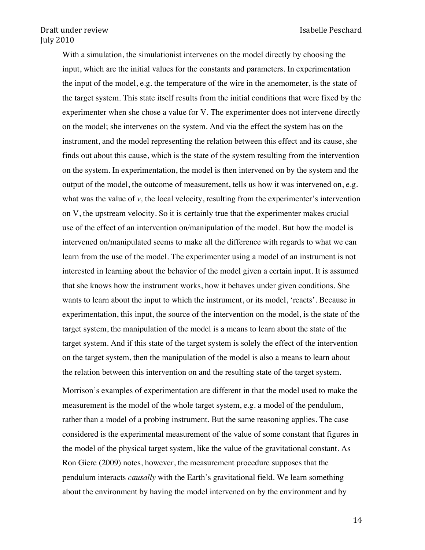With a simulation, the simulationist intervenes on the model directly by choosing the input, which are the initial values for the constants and parameters. In experimentation the input of the model, e.g. the temperature of the wire in the anemometer, is the state of the target system. This state itself results from the initial conditions that were fixed by the experimenter when she chose a value for V. The experimenter does not intervene directly on the model; she intervenes on the system. And via the effect the system has on the instrument, and the model representing the relation between this effect and its cause, she finds out about this cause, which is the state of the system resulting from the intervention on the system. In experimentation, the model is then intervened on by the system and the output of the model, the outcome of measurement, tells us how it was intervened on, e.g. what was the value of *v*, the local velocity, resulting from the experimenter's intervention on V, the upstream velocity. So it is certainly true that the experimenter makes crucial use of the effect of an intervention on/manipulation of the model. But how the model is intervened on/manipulated seems to make all the difference with regards to what we can learn from the use of the model. The experimenter using a model of an instrument is not interested in learning about the behavior of the model given a certain input. It is assumed that she knows how the instrument works, how it behaves under given conditions. She wants to learn about the input to which the instrument, or its model, 'reacts'. Because in experimentation, this input, the source of the intervention on the model, is the state of the target system, the manipulation of the model is a means to learn about the state of the target system. And if this state of the target system is solely the effect of the intervention on the target system, then the manipulation of the model is also a means to learn about the relation between this intervention on and the resulting state of the target system.

Morrison's examples of experimentation are different in that the model used to make the measurement is the model of the whole target system, e.g. a model of the pendulum, rather than a model of a probing instrument. But the same reasoning applies. The case considered is the experimental measurement of the value of some constant that figures in the model of the physical target system, like the value of the gravitational constant. As Ron Giere (2009) notes, however, the measurement procedure supposes that the pendulum interacts *causally* with the Earth's gravitational field. We learn something about the environment by having the model intervened on by the environment and by

14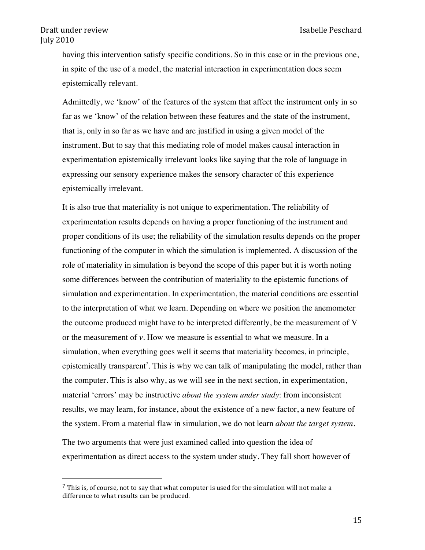having this intervention satisfy specific conditions. So in this case or in the previous one, in spite of the use of a model, the material interaction in experimentation does seem epistemically relevant.

Admittedly, we 'know' of the features of the system that affect the instrument only in so far as we 'know' of the relation between these features and the state of the instrument, that is, only in so far as we have and are justified in using a given model of the instrument. But to say that this mediating role of model makes causal interaction in experimentation epistemically irrelevant looks like saying that the role of language in expressing our sensory experience makes the sensory character of this experience epistemically irrelevant.

It is also true that materiality is not unique to experimentation. The reliability of experimentation results depends on having a proper functioning of the instrument and proper conditions of its use; the reliability of the simulation results depends on the proper functioning of the computer in which the simulation is implemented. A discussion of the role of materiality in simulation is beyond the scope of this paper but it is worth noting some differences between the contribution of materiality to the epistemic functions of simulation and experimentation. In experimentation, the material conditions are essential to the interpretation of what we learn. Depending on where we position the anemometer the outcome produced might have to be interpreted differently, be the measurement of V or the measurement of *v*. How we measure is essential to what we measure. In a simulation, when everything goes well it seems that materiality becomes, in principle, epistemically transparent<sup>7</sup>. This is why we can talk of manipulating the model, rather than the computer. This is also why, as we will see in the next section, in experimentation, material 'errors' may be instructive *about the system under study*: from inconsistent results, we may learn, for instance, about the existence of a new factor, a new feature of the system. From a material flaw in simulation, we do not learn *about the target system*.

The two arguments that were just examined called into question the idea of experimentation as direct access to the system under study. They fall short however of

 $7$  This is, of course, not to say that what computer is used for the simulation will not make a difference to what results can be produced.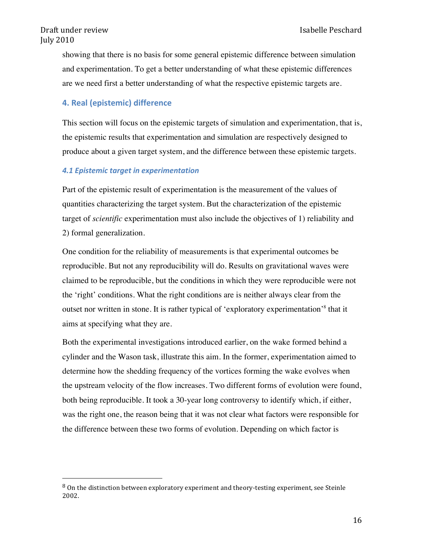showing that there is no basis for some general epistemic difference between simulation and experimentation. To get a better understanding of what these epistemic differences are we need first a better understanding of what the respective epistemic targets are.

## **4. Real (epistemic) difference**

&&&&&&&&&&&&&&&&&&&&&&&&&&&&&&&&&&&&&&&&&&&&&&&&&&&&&&&

This section will focus on the epistemic targets of simulation and experimentation, that is, the epistemic results that experimentation and simulation are respectively designed to produce about a given target system, and the difference between these epistemic targets.

## **4.1 Epistemic target in experimentation**

Part of the epistemic result of experimentation is the measurement of the values of quantities characterizing the target system. But the characterization of the epistemic target of *scientific* experimentation must also include the objectives of 1) reliability and 2) formal generalization.

One condition for the reliability of measurements is that experimental outcomes be reproducible. But not any reproducibility will do. Results on gravitational waves were claimed to be reproducible, but the conditions in which they were reproducible were not the 'right' conditions. What the right conditions are is neither always clear from the outset nor written in stone. It is rather typical of 'exploratory experimentation'<sup>8</sup> that it aims at specifying what they are.

Both the experimental investigations introduced earlier, on the wake formed behind a cylinder and the Wason task, illustrate this aim. In the former, experimentation aimed to determine how the shedding frequency of the vortices forming the wake evolves when the upstream velocity of the flow increases. Two different forms of evolution were found, both being reproducible. It took a 30-year long controversy to identify which, if either, was the right one, the reason being that it was not clear what factors were responsible for the difference between these two forms of evolution. Depending on which factor is

<sup>8</sup> On the distinction between exploratory experiment and theory-testing experiment, see Steinle 2002.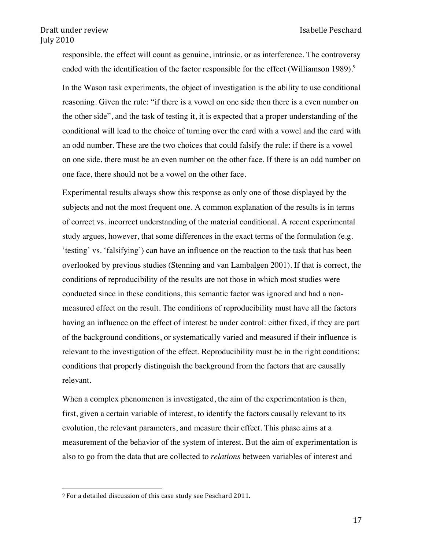responsible, the effect will count as genuine, intrinsic, or as interference. The controversy ended with the identification of the factor responsible for the effect (Williamson 1989).<sup>9</sup>

In the Wason task experiments, the object of investigation is the ability to use conditional reasoning. Given the rule: "if there is a vowel on one side then there is a even number on the other side", and the task of testing it, it is expected that a proper understanding of the conditional will lead to the choice of turning over the card with a vowel and the card with an odd number. These are the two choices that could falsify the rule: if there is a vowel on one side, there must be an even number on the other face. If there is an odd number on one face, there should not be a vowel on the other face.

Experimental results always show this response as only one of those displayed by the subjects and not the most frequent one. A common explanation of the results is in terms of correct vs. incorrect understanding of the material conditional. A recent experimental study argues, however, that some differences in the exact terms of the formulation (e.g. 'testing' vs. 'falsifying') can have an influence on the reaction to the task that has been overlooked by previous studies (Stenning and van Lambalgen 2001). If that is correct, the conditions of reproducibility of the results are not those in which most studies were conducted since in these conditions, this semantic factor was ignored and had a nonmeasured effect on the result. The conditions of reproducibility must have all the factors having an influence on the effect of interest be under control: either fixed, if they are part of the background conditions, or systematically varied and measured if their influence is relevant to the investigation of the effect. Reproducibility must be in the right conditions: conditions that properly distinguish the background from the factors that are causally relevant.

When a complex phenomenon is investigated, the aim of the experimentation is then, first, given a certain variable of interest, to identify the factors causally relevant to its evolution, the relevant parameters, and measure their effect. This phase aims at a measurement of the behavior of the system of interest. But the aim of experimentation is also to go from the data that are collected to *relations* between variables of interest and

<sup>&</sup>lt;sup>9</sup> For a detailed discussion of this case study see Peschard 2011.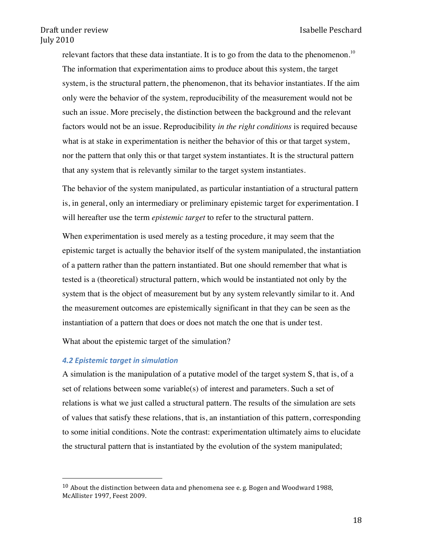relevant factors that these data instantiate. It is to go from the data to the phenomenon.<sup>10</sup> The information that experimentation aims to produce about this system, the target system, is the structural pattern, the phenomenon, that its behavior instantiates. If the aim only were the behavior of the system, reproducibility of the measurement would not be such an issue. More precisely, the distinction between the background and the relevant factors would not be an issue. Reproducibility *in the right conditions* is required because what is at stake in experimentation is neither the behavior of this or that target system, nor the pattern that only this or that target system instantiates. It is the structural pattern that any system that is relevantly similar to the target system instantiates.

The behavior of the system manipulated, as particular instantiation of a structural pattern is, in general, only an intermediary or preliminary epistemic target for experimentation. I will hereafter use the term *epistemic target* to refer to the structural pattern.

When experimentation is used merely as a testing procedure, it may seem that the epistemic target is actually the behavior itself of the system manipulated, the instantiation of a pattern rather than the pattern instantiated. But one should remember that what is tested is a (theoretical) structural pattern, which would be instantiated not only by the system that is the object of measurement but by any system relevantly similar to it. And the measurement outcomes are epistemically significant in that they can be seen as the instantiation of a pattern that does or does not match the one that is under test.

What about the epistemic target of the simulation?

#### **4.2 Epistemic target in simulation**

&&&&&&&&&&&&&&&&&&&&&&&&&&&&&&&&&&&&&&&&&&&&&&&&&&&&&&&

A simulation is the manipulation of a putative model of the target system S, that is, of a set of relations between some variable(s) of interest and parameters. Such a set of relations is what we just called a structural pattern. The results of the simulation are sets of values that satisfy these relations, that is, an instantiation of this pattern, corresponding to some initial conditions. Note the contrast: experimentation ultimately aims to elucidate the structural pattern that is instantiated by the evolution of the system manipulated;

<sup>&</sup>lt;sup>10</sup> About the distinction between data and phenomena see e. g. Bogen and Woodward 1988, McAllister 1997, Feest 2009.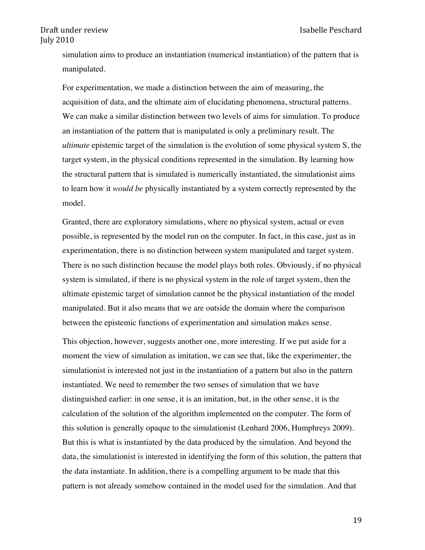simulation aims to produce an instantiation (numerical instantiation) of the pattern that is manipulated.

For experimentation, we made a distinction between the aim of measuring, the acquisition of data, and the ultimate aim of elucidating phenomena, structural patterns. We can make a similar distinction between two levels of aims for simulation. To produce an instantiation of the pattern that is manipulated is only a preliminary result. The *ultimate* epistemic target of the simulation is the evolution of some physical system S, the target system, in the physical conditions represented in the simulation. By learning how the structural pattern that is simulated is numerically instantiated, the simulationist aims to learn how it *would be* physically instantiated by a system correctly represented by the model.

Granted, there are exploratory simulations, where no physical system, actual or even possible, is represented by the model run on the computer. In fact, in this case, just as in experimentation, there is no distinction between system manipulated and target system. There is no such distinction because the model plays both roles. Obviously, if no physical system is simulated, if there is no physical system in the role of target system, then the ultimate epistemic target of simulation cannot be the physical instantiation of the model manipulated. But it also means that we are outside the domain where the comparison between the epistemic functions of experimentation and simulation makes sense.

This objection, however, suggests another one, more interesting. If we put aside for a moment the view of simulation as imitation, we can see that, like the experimenter, the simulationist is interested not just in the instantiation of a pattern but also in the pattern instantiated. We need to remember the two senses of simulation that we have distinguished earlier: in one sense, it is an imitation, but, in the other sense, it is the calculation of the solution of the algorithm implemented on the computer. The form of this solution is generally opaque to the simulationist (Lenhard 2006, Humphreys 2009). But this is what is instantiated by the data produced by the simulation. And beyond the data, the simulationist is interested in identifying the form of this solution, the pattern that the data instantiate. In addition, there is a compelling argument to be made that this pattern is not already somehow contained in the model used for the simulation. And that

19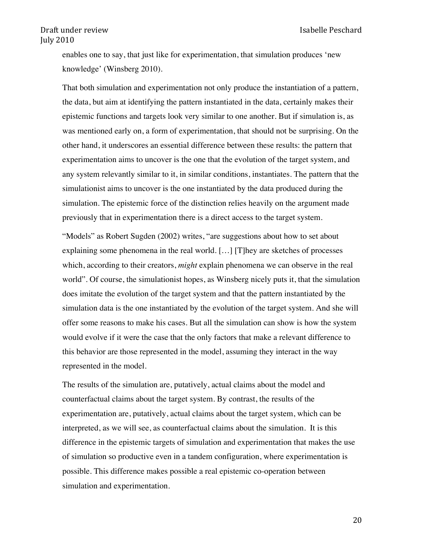enables one to say, that just like for experimentation, that simulation produces 'new knowledge' (Winsberg 2010).

That both simulation and experimentation not only produce the instantiation of a pattern, the data, but aim at identifying the pattern instantiated in the data, certainly makes their epistemic functions and targets look very similar to one another. But if simulation is, as was mentioned early on, a form of experimentation, that should not be surprising. On the other hand, it underscores an essential difference between these results: the pattern that experimentation aims to uncover is the one that the evolution of the target system, and any system relevantly similar to it, in similar conditions, instantiates. The pattern that the simulationist aims to uncover is the one instantiated by the data produced during the simulation. The epistemic force of the distinction relies heavily on the argument made previously that in experimentation there is a direct access to the target system.

"Models" as Robert Sugden (2002) writes, "are suggestions about how to set about explaining some phenomena in the real world. […] [T]hey are sketches of processes which, according to their creators, *might* explain phenomena we can observe in the real world". Of course, the simulationist hopes, as Winsberg nicely puts it, that the simulation does imitate the evolution of the target system and that the pattern instantiated by the simulation data is the one instantiated by the evolution of the target system. And she will offer some reasons to make his cases. But all the simulation can show is how the system would evolve if it were the case that the only factors that make a relevant difference to this behavior are those represented in the model, assuming they interact in the way represented in the model.

The results of the simulation are, putatively, actual claims about the model and counterfactual claims about the target system. By contrast, the results of the experimentation are, putatively, actual claims about the target system, which can be interpreted, as we will see, as counterfactual claims about the simulation. It is this difference in the epistemic targets of simulation and experimentation that makes the use of simulation so productive even in a tandem configuration, where experimentation is possible. This difference makes possible a real epistemic co-operation between simulation and experimentation.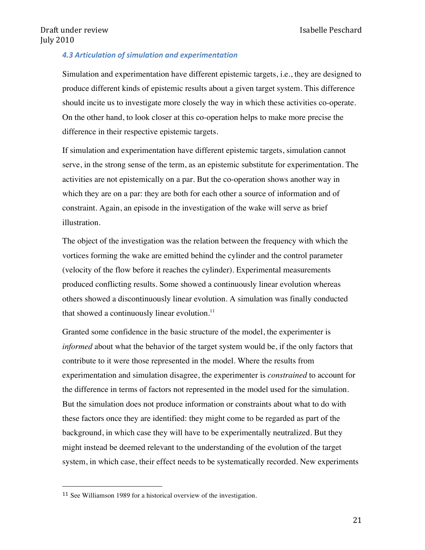#### *4.3 Articulation\$of\$simulation\$and\$experimentation*

Simulation and experimentation have different epistemic targets, i.e., they are designed to produce different kinds of epistemic results about a given target system. This difference should incite us to investigate more closely the way in which these activities co-operate. On the other hand, to look closer at this co-operation helps to make more precise the difference in their respective epistemic targets.

If simulation and experimentation have different epistemic targets, simulation cannot serve, in the strong sense of the term, as an epistemic substitute for experimentation. The activities are not epistemically on a par. But the co-operation shows another way in which they are on a par: they are both for each other a source of information and of constraint. Again, an episode in the investigation of the wake will serve as brief illustration.

The object of the investigation was the relation between the frequency with which the vortices forming the wake are emitted behind the cylinder and the control parameter (velocity of the flow before it reaches the cylinder). Experimental measurements produced conflicting results. Some showed a continuously linear evolution whereas others showed a discontinuously linear evolution. A simulation was finally conducted that showed a continuously linear evolution.<sup>11</sup>

Granted some confidence in the basic structure of the model, the experimenter is *informed* about what the behavior of the target system would be, if the only factors that contribute to it were those represented in the model. Where the results from experimentation and simulation disagree, the experimenter is *constrained* to account for the difference in terms of factors not represented in the model used for the simulation. But the simulation does not produce information or constraints about what to do with these factors once they are identified: they might come to be regarded as part of the background, in which case they will have to be experimentally neutralized. But they might instead be deemed relevant to the understanding of the evolution of the target system, in which case, their effect needs to be systematically recorded. New experiments

<sup>11</sup> See Williamson 1989 for a historical overview of the investigation.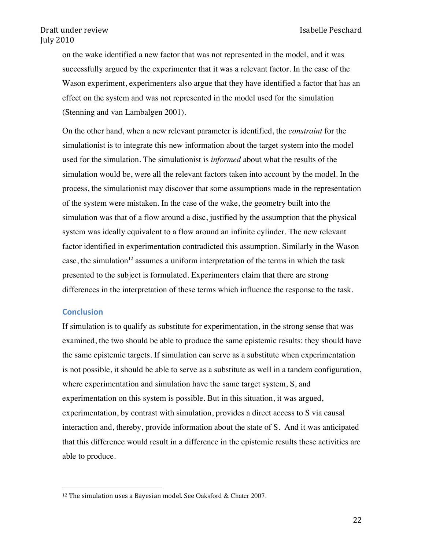on the wake identified a new factor that was not represented in the model, and it was successfully argued by the experimenter that it was a relevant factor. In the case of the Wason experiment, experimenters also argue that they have identified a factor that has an effect on the system and was not represented in the model used for the simulation (Stenning and van Lambalgen 2001).

On the other hand, when a new relevant parameter is identified, the *constraint* for the simulationist is to integrate this new information about the target system into the model used for the simulation. The simulationist is *informed* about what the results of the simulation would be, were all the relevant factors taken into account by the model. In the process, the simulationist may discover that some assumptions made in the representation of the system were mistaken. In the case of the wake, the geometry built into the simulation was that of a flow around a disc, justified by the assumption that the physical system was ideally equivalent to a flow around an infinite cylinder. The new relevant factor identified in experimentation contradicted this assumption. Similarly in the Wason case, the simulation<sup>12</sup> assumes a uniform interpretation of the terms in which the task presented to the subject is formulated. Experimenters claim that there are strong differences in the interpretation of these terms which influence the response to the task.

#### **Conclusion**

If simulation is to qualify as substitute for experimentation, in the strong sense that was examined, the two should be able to produce the same epistemic results: they should have the same epistemic targets. If simulation can serve as a substitute when experimentation is not possible, it should be able to serve as a substitute as well in a tandem configuration, where experimentation and simulation have the same target system, S, and experimentation on this system is possible. But in this situation, it was argued, experimentation, by contrast with simulation, provides a direct access to S via causal interaction and, thereby, provide information about the state of S. And it was anticipated that this difference would result in a difference in the epistemic results these activities are able to produce.

<sup>&</sup>lt;sup>12</sup> The simulation uses a Bayesian model. See Oaksford & Chater 2007.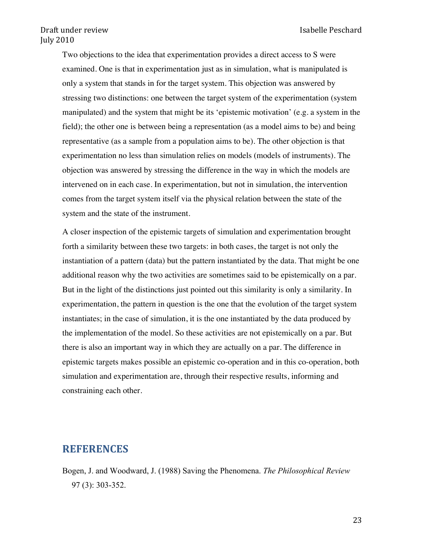Two objections to the idea that experimentation provides a direct access to S were examined. One is that in experimentation just as in simulation, what is manipulated is only a system that stands in for the target system. This objection was answered by stressing two distinctions: one between the target system of the experimentation (system manipulated) and the system that might be its 'epistemic motivation' (e.g. a system in the field); the other one is between being a representation (as a model aims to be) and being representative (as a sample from a population aims to be). The other objection is that experimentation no less than simulation relies on models (models of instruments). The objection was answered by stressing the difference in the way in which the models are intervened on in each case. In experimentation, but not in simulation, the intervention comes from the target system itself via the physical relation between the state of the system and the state of the instrument.

A closer inspection of the epistemic targets of simulation and experimentation brought forth a similarity between these two targets: in both cases, the target is not only the instantiation of a pattern (data) but the pattern instantiated by the data. That might be one additional reason why the two activities are sometimes said to be epistemically on a par. But in the light of the distinctions just pointed out this similarity is only a similarity. In experimentation, the pattern in question is the one that the evolution of the target system instantiates; in the case of simulation, it is the one instantiated by the data produced by the implementation of the model. So these activities are not epistemically on a par. But there is also an important way in which they are actually on a par. The difference in epistemic targets makes possible an epistemic co-operation and in this co-operation, both simulation and experimentation are, through their respective results, informing and constraining each other.

# **REFERENCES**

Bogen, J. and Woodward, J. (1988) Saving the Phenomena. *The Philosophical Review* 97 (3): 303-352.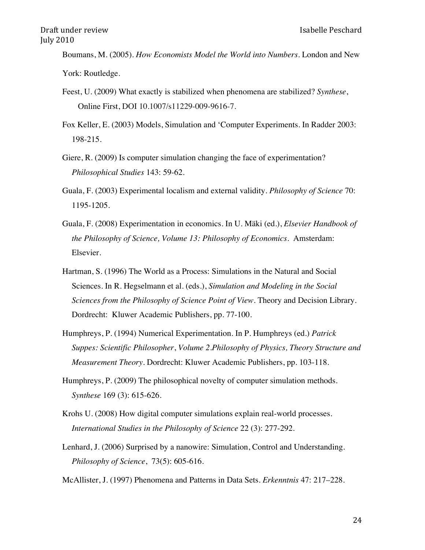Boumans, M. (2005). *How Economists Model the World into Numbers*. London and New York: Routledge.

- Feest, U. (2009) What exactly is stabilized when phenomena are stabilized? *Synthese*, Online First, DOI 10.1007/s11229-009-9616-7.
- Fox Keller, E. (2003) Models, Simulation and 'Computer Experiments. In Radder 2003: 198-215.
- Giere, R. (2009) Is computer simulation changing the face of experimentation? *Philosophical Studies* 143: 59-62.
- Guala, F. (2003) Experimental localism and external validity. *Philosophy of Science* 70: 1195-1205.
- Guala, F. (2008) Experimentation in economics. In U. Mäki (ed.), *Elsevier Handbook of the Philosophy of Science, Volume 13: Philosophy of Economics.* Amsterdam: Elsevier.
- Hartman, S. (1996) The World as a Process: Simulations in the Natural and Social Sciences. In R. Hegselmann et al. (eds.), *Simulation and Modeling in the Social Sciences from the Philosophy of Science Point of View*. Theory and Decision Library. Dordrecht: Kluwer Academic Publishers, pp. 77-100.
- Humphreys, P. (1994) Numerical Experimentation. In P. Humphreys (ed.) *Patrick Suppes: Scientific Philosopher*, *Volume 2.Philosophy of Physics, Theory Structure and Measurement Theory.* Dordrecht: Kluwer Academic Publishers, pp. 103-118.
- Humphreys, P. (2009) The philosophical novelty of computer simulation methods. *Synthese* 169 (3): 615-626.
- Krohs U. (2008) How digital computer simulations explain real-world processes. *International Studies in the Philosophy of Science* 22 (3): 277-292.
- Lenhard, J. (2006) Surprised by a nanowire: Simulation, Control and Understanding. *Philosophy of Science*, 73(5): 605-616.
- McAllister, J. (1997) Phenomena and Patterns in Data Sets. *Erkenntnis* 47: 217–228.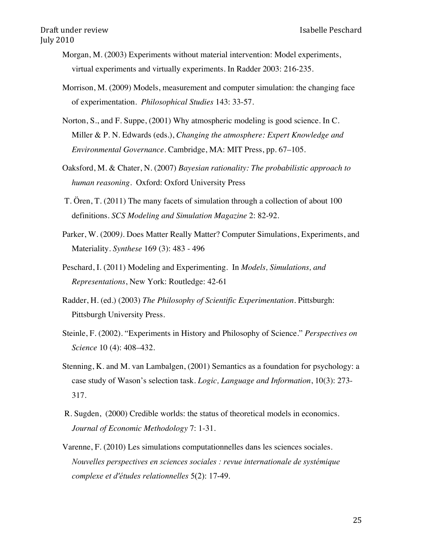- Morgan, M. (2003) Experiments without material intervention: Model experiments, virtual experiments and virtually experiments. In Radder 2003: 216-235.
- Morrison, M. (2009) Models, measurement and computer simulation: the changing face of experimentation. *Philosophical Studies* 143: 33-57.
- Norton, S., and F. Suppe, (2001) Why atmospheric modeling is good science. In C. Miller & P. N. Edwards (eds.), *Changing the atmosphere: Expert Knowledge and Environmental Governance*. Cambridge, MA: MIT Press, pp. 67–105.
- Oaksford, M. & Chater, N. (2007) *Bayesian rationality: The probabilistic approach to human reasoning*. Oxford: Oxford University Press
- T. Ören, T. (2011) The many facets of simulation through a collection of about 100 definitions. *SCS Modeling and Simulation Magazine* 2: 82-92.
- Parker, W. (2009*)*. Does Matter Really Matter? Computer Simulations, Experiments, and Materiality. *Synthese* 169 (3): 483 - 496
- Peschard, I. (2011) Modeling and Experimenting. In *Models, Simulations, and Representations*, New York: Routledge: 42-61
- Radder, H. (ed.) (2003) *The Philosophy of Scientific Experimentation*. Pittsburgh: Pittsburgh University Press.
- Steinle, F. (2002). "Experiments in History and Philosophy of Science." *Perspectives on Science* 10 (4): 408–432.
- Stenning, K. and M. van Lambalgen, (2001) Semantics as a foundation for psychology: a case study of Wason's selection task. *Logic, Language and Information*, 10(3): 273- 317.
- R. Sugden, (2000) Credible worlds: the status of theoretical models in economics. *Journal of Economic Methodology* 7: 1-31.
- Varenne, F. (2010) Les simulations computationnelles dans les sciences sociales. *Nouvelles perspectives en sciences sociales : revue internationale de systémique complexe et d'études relationnelles* 5(2): 17-49.